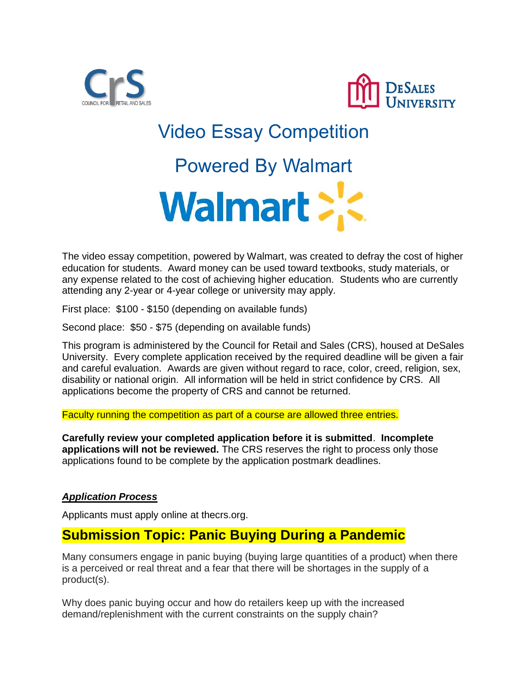



# Video Essay Competition

## Powered By Walmart



The video essay competition, powered by Walmart, was created to defray the cost of higher education for students. Award money can be used toward textbooks, study materials, or any expense related to the cost of achieving higher education. Students who are currently attending any 2-year or 4-year college or university may apply.

First place: \$100 - \$150 (depending on available funds)

Second place: \$50 - \$75 (depending on available funds)

This program is administered by the Council for Retail and Sales (CRS), housed at DeSales University. Every complete application received by the required deadline will be given a fair and careful evaluation. Awards are given without regard to race, color, creed, religion, sex, disability or national origin. All information will be held in strict confidence by CRS. All applications become the property of CRS and cannot be returned.

Faculty running the competition as part of a course are allowed three entries.

**Carefully review your completed application before it is submitted**. **Incomplete applications will not be reviewed.** The CRS reserves the right to process only those applications found to be complete by the application postmark deadlines.

#### *Application Process*

Applicants must apply online at thecrs.org.

### **Submission Topic: Panic Buying During a Pandemic**

Many consumers engage in panic buying (buying large quantities of a product) when there is a perceived or real threat and a fear that there will be shortages in the supply of a product(s).

Why does panic buying occur and how do retailers keep up with the increased demand/replenishment with the current constraints on the supply chain?